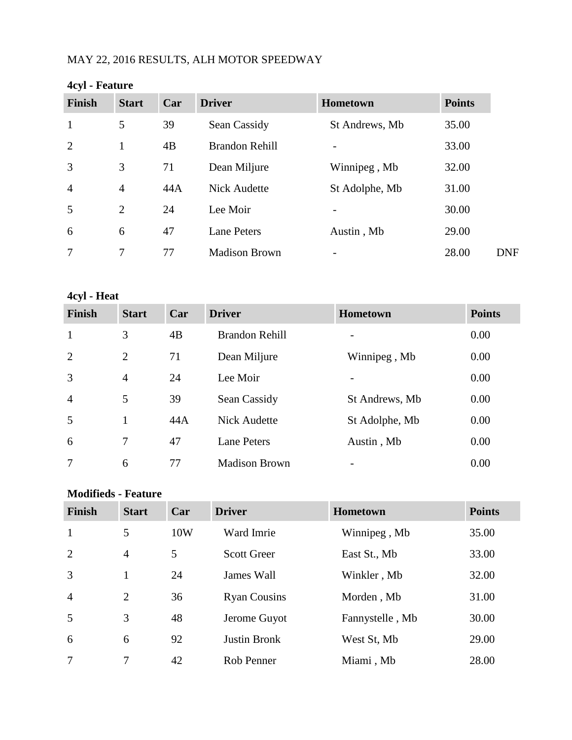## MAY 22, 2016 RESULTS, ALH MOTOR SPEEDWAY

| $T_{\rm v1}$ reducts |                |     |                       |                 |               |
|----------------------|----------------|-----|-----------------------|-----------------|---------------|
| <b>Finish</b>        | <b>Start</b>   | Car | <b>Driver</b>         | <b>Hometown</b> | <b>Points</b> |
| $\mathbf{1}$         | 5              | 39  | Sean Cassidy          | St Andrews, Mb  | 35.00         |
| 2                    | 1              | 4B  | <b>Brandon Rehill</b> | -               | 33.00         |
| 3                    | 3              | 71  | Dean Miljure          | Winnipeg, Mb    | 32.00         |
| $\overline{4}$       | $\overline{4}$ | 44A | <b>Nick Audette</b>   | St Adolphe, Mb  | 31.00         |
| 5                    | 2              | 24  | Lee Moir              |                 | 30.00         |
| 6                    | 6              | 47  | <b>Lane Peters</b>    | Austin, Mb      | 29.00         |
| 7                    | 7              | 77  | <b>Madison Brown</b>  |                 | 28.00         |
|                      |                |     |                       |                 |               |

#### **4cyl - Feature**

#### **4cyl - Heat**

| <b>Finish</b>  | <b>Start</b>   | Car | <b>Driver</b>         | <b>Hometown</b> | <b>Points</b> |
|----------------|----------------|-----|-----------------------|-----------------|---------------|
| $\mathbf{1}$   | 3              | 4B  | <b>Brandon Rehill</b> |                 | 0.00          |
| 2              | 2              | 71  | Dean Miljure          | Winnipeg, Mb    | 0.00          |
| 3              | $\overline{4}$ | 24  | Lee Moir              |                 | 0.00          |
| $\overline{4}$ | 5              | 39  | Sean Cassidy          | St Andrews, Mb  | 0.00          |
| 5              |                | 44A | <b>Nick Audette</b>   | St Adolphe, Mb  | 0.00          |
| 6              | $\tau$         | 47  | <b>Lane Peters</b>    | Austin, Mb      | 0.00          |
| 7              | 6              | 77  | <b>Madison Brown</b>  |                 | 0.00          |

#### **Modifieds - Feature**

| <b>Finish</b>  | <b>Start</b>   | Car | <b>Driver</b>       | Hometown        | <b>Points</b> |
|----------------|----------------|-----|---------------------|-----------------|---------------|
| 1              | 5              | 10W | Ward Imrie          | Winnipeg, Mb    | 35.00         |
| 2              | $\overline{4}$ | 5   | <b>Scott Greer</b>  | East St., Mb    | 33.00         |
| $\overline{3}$ |                | 24  | James Wall          | Winkler, Mb     | 32.00         |
| $\overline{4}$ | 2              | 36  | <b>Ryan Cousins</b> | Morden, Mb      | 31.00         |
| 5              | 3              | 48  | Jerome Guyot        | Fannystelle, Mb | 30.00         |
| 6              | 6              | 92  | <b>Justin Bronk</b> | West St, Mb     | 29.00         |
| 7              | 7              | 42  | Rob Penner          | Miami, Mb       | 28.00         |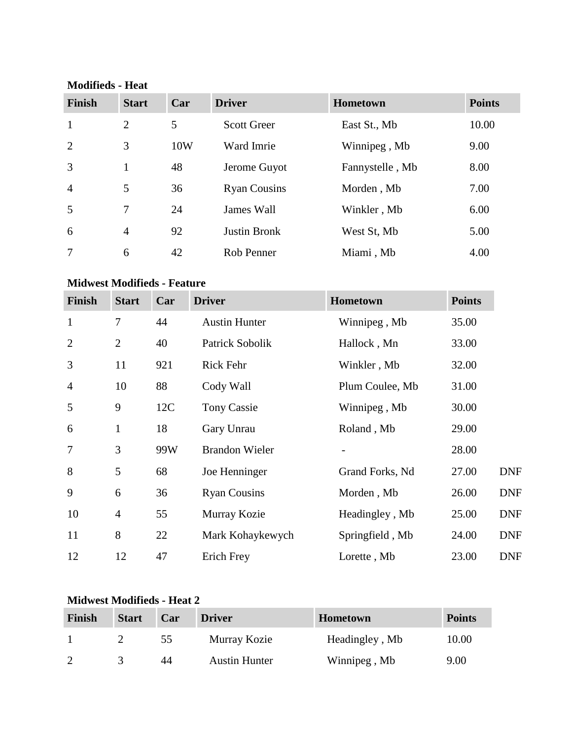#### **Modifieds - Heat**

| <b>Finish</b>  | <b>Start</b>   | Car | <b>Driver</b>       | <b>Hometown</b> | <b>Points</b> |
|----------------|----------------|-----|---------------------|-----------------|---------------|
| $\mathbf{1}$   | 2              | 5   | <b>Scott Greer</b>  | East St., Mb    | 10.00         |
| $\overline{2}$ | 3              | 10W | Ward Imrie          | Winnipeg, Mb    | 9.00          |
| 3              |                | 48  | Jerome Guyot        | Fannystelle, Mb | 8.00          |
| $\overline{4}$ | 5              | 36  | <b>Ryan Cousins</b> | Morden, Mb      | 7.00          |
| 5              | 7              | 24  | James Wall          | Winkler, Mb     | 6.00          |
| 6              | $\overline{4}$ | 92  | <b>Justin Bronk</b> | West St, Mb     | 5.00          |
| 7              | 6              | 42  | Rob Penner          | Miami, Mb       | 4.00          |

### **Midwest Modifieds - Feature**

| <b>Finish</b>  | <b>Start</b>   | Car | <b>Driver</b>         | Hometown        | <b>Points</b> |            |
|----------------|----------------|-----|-----------------------|-----------------|---------------|------------|
| $\mathbf{1}$   | $\overline{7}$ | 44  | <b>Austin Hunter</b>  | Winnipeg, Mb    | 35.00         |            |
| $\overline{2}$ | $\overline{2}$ | 40  | Patrick Sobolik       | Hallock, Mn     | 33.00         |            |
| 3              | 11             | 921 | <b>Rick Fehr</b>      | Winkler, Mb     | 32.00         |            |
| $\overline{4}$ | 10             | 88  | Cody Wall             | Plum Coulee, Mb | 31.00         |            |
| 5              | 9              | 12C | <b>Tony Cassie</b>    | Winnipeg, Mb    | 30.00         |            |
| 6              | $\mathbf{1}$   | 18  | Gary Unrau            | Roland, Mb      | 29.00         |            |
| $\overline{7}$ | 3              | 99W | <b>Brandon Wieler</b> |                 | 28.00         |            |
| 8              | 5              | 68  | Joe Henninger         | Grand Forks, Nd | 27.00         | <b>DNF</b> |
| 9              | 6              | 36  | <b>Ryan Cousins</b>   | Morden, Mb      | 26.00         | <b>DNF</b> |
| 10             | $\overline{4}$ | 55  | Murray Kozie          | Headingley, Mb  | 25.00         | <b>DNF</b> |
| 11             | 8              | 22  | Mark Kohaykewych      | Springfield, Mb | 24.00         | <b>DNF</b> |
| 12             | 12             | 47  | Erich Frey            | Lorette, Mb     | 23.00         | <b>DNF</b> |

## **Midwest Modifieds - Heat 2**

| Finish | <b>Start</b> | Car | <b>Driver</b>        | <b>Hometown</b> | <b>Points</b> |
|--------|--------------|-----|----------------------|-----------------|---------------|
|        |              | 55  | Murray Kozie         | Headingley, Mb  | 10.00         |
|        |              | 44  | <b>Austin Hunter</b> | Winnipeg, Mb    | 9.00          |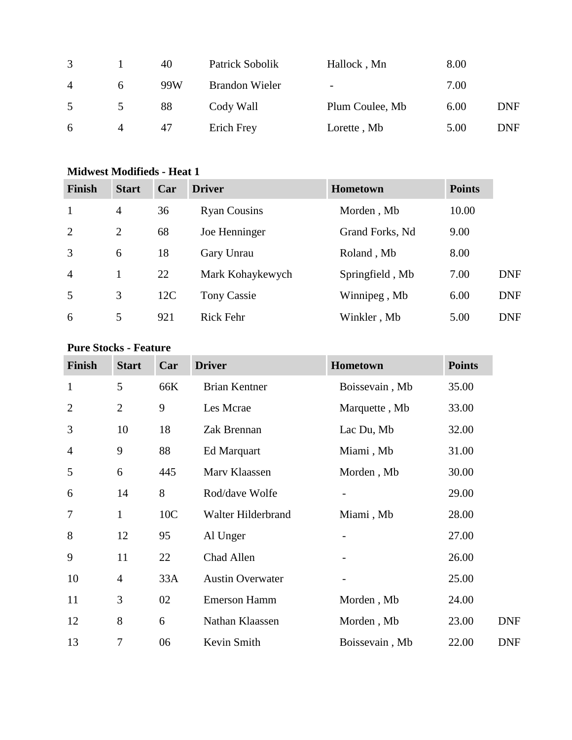| 3              |                | 40  | Patrick Sobolik       | Hallock, Mn                  | 8.00 |            |
|----------------|----------------|-----|-----------------------|------------------------------|------|------------|
| $\overline{A}$ | 6              | 99W | <b>Brandon Wieler</b> | $\qquad \qquad \blacksquare$ | 7.00 |            |
| 5              | $\mathcal{D}$  | 88  | Cody Wall             | Plum Coulee, Mb              | 6.00 | DNF        |
| 6              | $\overline{4}$ | 47  | Erich Frey            | Lorette, Mb                  | 5.00 | <b>DNF</b> |

## **Midwest Modifieds - Heat 1**

| <b>Finish</b>  | <b>Start</b>   | Car | <b>Driver</b>       | <b>Hometown</b> | <b>Points</b> |            |
|----------------|----------------|-----|---------------------|-----------------|---------------|------------|
| $\mathbf{1}$   | $\overline{4}$ | 36  | <b>Ryan Cousins</b> | Morden, Mb      | 10.00         |            |
| 2              | 2              | 68  | Joe Henninger       | Grand Forks, Nd | 9.00          |            |
| 3              | 6              | 18  | Gary Unrau          | Roland, Mb      | 8.00          |            |
| $\overline{4}$ |                | 22  | Mark Kohaykewych    | Springfield, Mb | 7.00          | <b>DNF</b> |
| 5              | 3              | 12C | <b>Tony Cassie</b>  | Winnipeg, Mb    | 6.00          | <b>DNF</b> |
| 6              | 5              | 921 | <b>Rick Fehr</b>    | Winkler, Mb     | 5.00          | <b>DNF</b> |

### **Pure Stocks - Feature**

| <b>Finish</b>  | <b>Start</b>   | Car | <b>Driver</b>           | Hometown       | <b>Points</b> |
|----------------|----------------|-----|-------------------------|----------------|---------------|
| $\mathbf{1}$   | 5              | 66K | <b>Brian Kentner</b>    | Boissevain, Mb | 35.00         |
| $\overline{2}$ | $\overline{2}$ | 9   | Les Mcrae               | Marquette, Mb  | 33.00         |
| 3              | 10             | 18  | Zak Brennan             | Lac Du, Mb     | 32.00         |
| $\overline{4}$ | 9              | 88  | Ed Marquart             | Miami, Mb      | 31.00         |
| 5              | 6              | 445 | Marv Klaassen           | Morden, Mb     | 30.00         |
| 6              | 14             | 8   | Rod/dave Wolfe          |                | 29.00         |
| 7              | 1              | 10C | Walter Hilderbrand      | Miami, Mb      | 28.00         |
| 8              | 12             | 95  | Al Unger                |                | 27.00         |
| 9              | 11             | 22  | Chad Allen              |                | 26.00         |
| 10             | $\overline{4}$ | 33A | <b>Austin Overwater</b> |                | 25.00         |
| 11             | 3              | 02  | <b>Emerson Hamm</b>     | Morden, Mb     | 24.00         |
| 12             | 8              | 6   | Nathan Klaassen         | Morden, Mb     | 23.00         |
| 13             | $\overline{7}$ | 06  | Kevin Smith             | Boissevain, Mb | 22.00         |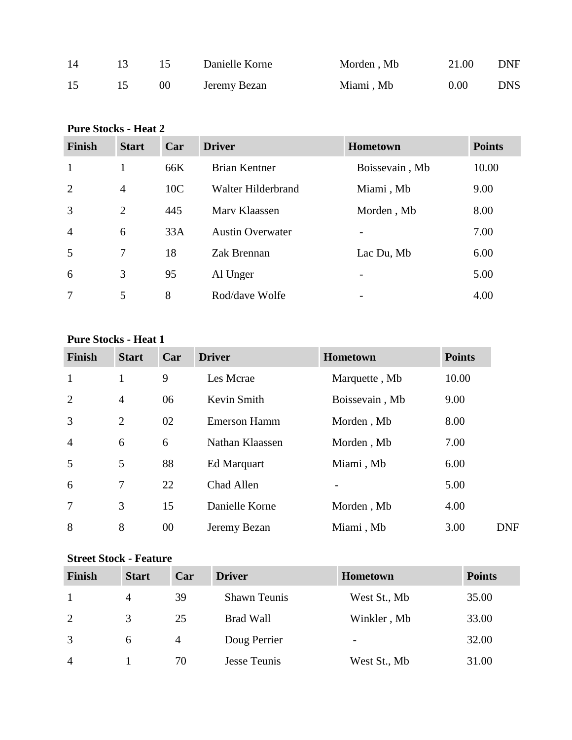| 14 |                 | Danielle Korne | Morden, Mb | 21.00 | <b>DNF</b> |
|----|-----------------|----------------|------------|-------|------------|
| 15 | 00 <sup>1</sup> | Jeremy Bezan   | Miami, Mb  | 0.00  | <b>DNS</b> |

### **Pure Stocks - Heat 2**

| <b>Finish</b>  | <b>Start</b>   | Car             | <b>Driver</b>           | <b>Hometown</b>          | <b>Points</b> |
|----------------|----------------|-----------------|-------------------------|--------------------------|---------------|
| $\mathbf{1}$   |                | 66K             | <b>Brian Kentner</b>    | Boissevain, Mb           | 10.00         |
| 2              | $\overline{4}$ | 10 <sub>C</sub> | Walter Hilderbrand      | Miami, Mb                | 9.00          |
| $\overline{3}$ | $\overline{2}$ | 445             | Mary Klaassen           | Morden, Mb               | 8.00          |
| $\overline{4}$ | 6              | 33A             | <b>Austin Overwater</b> |                          | 7.00          |
| 5              | 7              | 18              | Zak Brennan             | Lac Du, Mb               | 6.00          |
| 6              | 3              | 95              | Al Unger                |                          | 5.00          |
| $\overline{7}$ | 5              | 8               | Rod/dave Wolfe          | $\overline{\phantom{a}}$ | 4.00          |

#### **Pure Stocks - Heat 1**

| <b>Finish</b>  | <b>Start</b>   | Car | <b>Driver</b>       | Hometown       | <b>Points</b> |
|----------------|----------------|-----|---------------------|----------------|---------------|
| $\mathbf{1}$   | 1              | 9   | Les Mcrae           | Marquette, Mb  | 10.00         |
| 2              | $\overline{4}$ | 06  | Kevin Smith         | Boissevain, Mb | 9.00          |
| 3              | $\overline{2}$ | 02  | <b>Emerson Hamm</b> | Morden, Mb     | 8.00          |
| $\overline{4}$ | 6              | 6   | Nathan Klaassen     | Morden, Mb     | 7.00          |
| 5              | 5              | 88  | Ed Marquart         | Miami, Mb      | 6.00          |
| 6              | 7              | 22  | Chad Allen          |                | 5.00          |
| 7              | 3              | 15  | Danielle Korne      | Morden, Mb     | 4.00          |
| 8              | 8              | 00  | Jeremy Bezan        | Miami, Mb      | 3.00          |

#### **Street Stock - Feature**

| <b>Finish</b>  | <b>Start</b>   | Car | <b>Driver</b>       | <b>Hometown</b>          | <b>Points</b> |
|----------------|----------------|-----|---------------------|--------------------------|---------------|
|                | $\overline{4}$ | 39  | <b>Shawn Teunis</b> | West St., Mb             | 35.00         |
| 2              | 3              | 25  | <b>Brad Wall</b>    | Winkler, Mb              | 33.00         |
| 3              | 6              | 4   | Doug Perrier        | $\overline{\phantom{a}}$ | 32.00         |
| $\overline{4}$ |                | 70  | Jesse Teunis        | West St., Mb             | 31.00         |